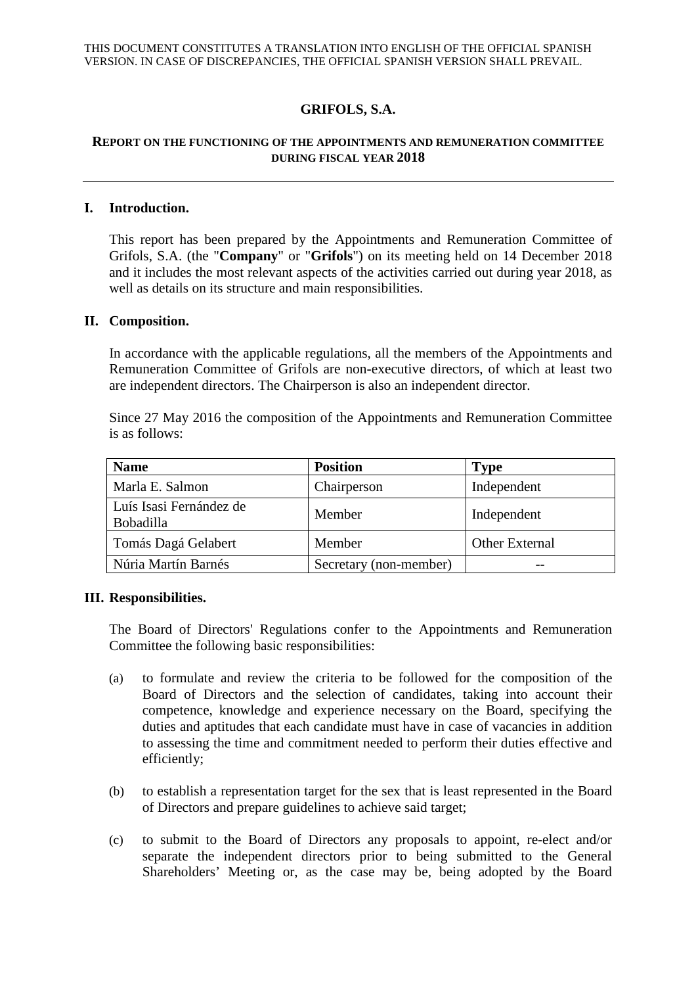# **GRIFOLS, S.A.**

## **REPORT ON THE FUNCTIONING OF THE APPOINTMENTS AND REMUNERATION COMMITTEE DURING FISCAL YEAR 2018**

#### **I. Introduction.**

This report has been prepared by the Appointments and Remuneration Committee of Grifols, S.A. (the "**Company**" or "**Grifols**") on its meeting held on 14 December 2018 and it includes the most relevant aspects of the activities carried out during year 2018, as well as details on its structure and main responsibilities.

#### **II. Composition.**

In accordance with the applicable regulations, all the members of the Appointments and Remuneration Committee of Grifols are non-executive directors, of which at least two are independent directors. The Chairperson is also an independent director.

Since 27 May 2016 the composition of the Appointments and Remuneration Committee is as follows:

| <b>Name</b>                                 | <b>Position</b>        | <b>Type</b>    |
|---------------------------------------------|------------------------|----------------|
| Marla E. Salmon                             | Chairperson            | Independent    |
| Luís Isasi Fernández de<br><b>Bobadilla</b> | Member                 | Independent    |
| Tomás Dagá Gelabert                         | Member                 | Other External |
| Núria Martín Barnés                         | Secretary (non-member) |                |

## **III. Responsibilities.**

The Board of Directors' Regulations confer to the Appointments and Remuneration Committee the following basic responsibilities:

- (a) to formulate and review the criteria to be followed for the composition of the Board of Directors and the selection of candidates, taking into account their competence, knowledge and experience necessary on the Board, specifying the duties and aptitudes that each candidate must have in case of vacancies in addition to assessing the time and commitment needed to perform their duties effective and efficiently;
- (b) to establish a representation target for the sex that is least represented in the Board of Directors and prepare guidelines to achieve said target;
- (c) to submit to the Board of Directors any proposals to appoint, re-elect and/or separate the independent directors prior to being submitted to the General Shareholders' Meeting or, as the case may be, being adopted by the Board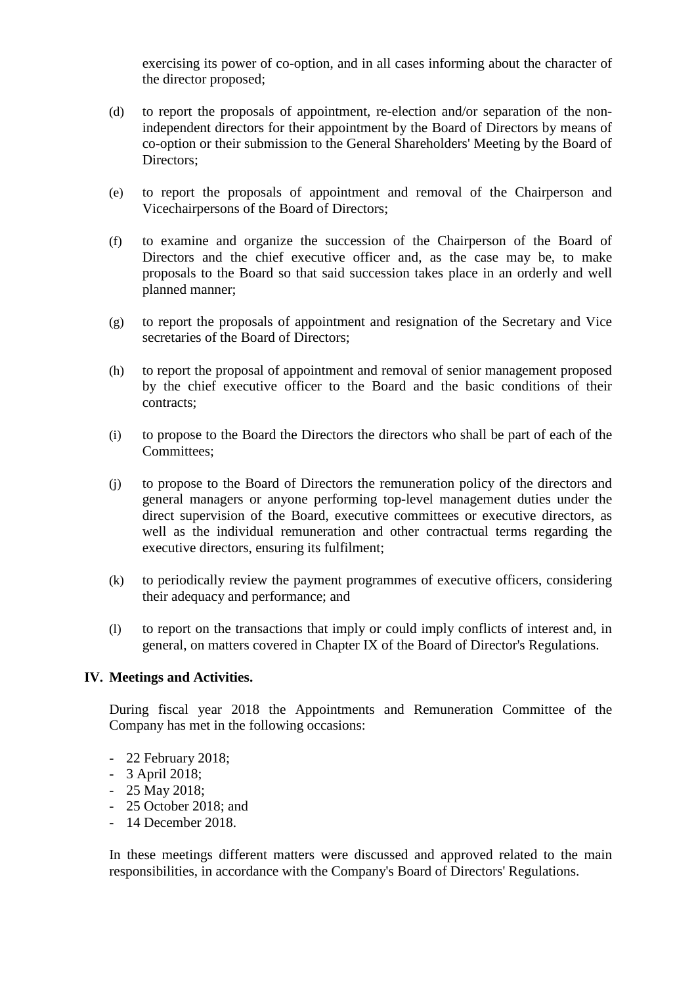exercising its power of co-option, and in all cases informing about the character of the director proposed;

- (d) to report the proposals of appointment, re-election and/or separation of the nonindependent directors for their appointment by the Board of Directors by means of co-option or their submission to the General Shareholders' Meeting by the Board of Directors;
- (e) to report the proposals of appointment and removal of the Chairperson and Vicechairpersons of the Board of Directors;
- (f) to examine and organize the succession of the Chairperson of the Board of Directors and the chief executive officer and, as the case may be, to make proposals to the Board so that said succession takes place in an orderly and well planned manner;
- (g) to report the proposals of appointment and resignation of the Secretary and Vice secretaries of the Board of Directors;
- (h) to report the proposal of appointment and removal of senior management proposed by the chief executive officer to the Board and the basic conditions of their contracts;
- (i) to propose to the Board the Directors the directors who shall be part of each of the Committees;
- (j) to propose to the Board of Directors the remuneration policy of the directors and general managers or anyone performing top-level management duties under the direct supervision of the Board, executive committees or executive directors, as well as the individual remuneration and other contractual terms regarding the executive directors, ensuring its fulfilment;
- (k) to periodically review the payment programmes of executive officers, considering their adequacy and performance; and
- (l) to report on the transactions that imply or could imply conflicts of interest and, in general, on matters covered in Chapter IX of the Board of Director's Regulations.

## **IV. Meetings and Activities.**

During fiscal year 2018 the Appointments and Remuneration Committee of the Company has met in the following occasions:

- 22 February 2018;
- 3 April 2018;
- 25 May 2018;
- 25 October 2018; and
- 14 December 2018.

In these meetings different matters were discussed and approved related to the main responsibilities, in accordance with the Company's Board of Directors' Regulations.